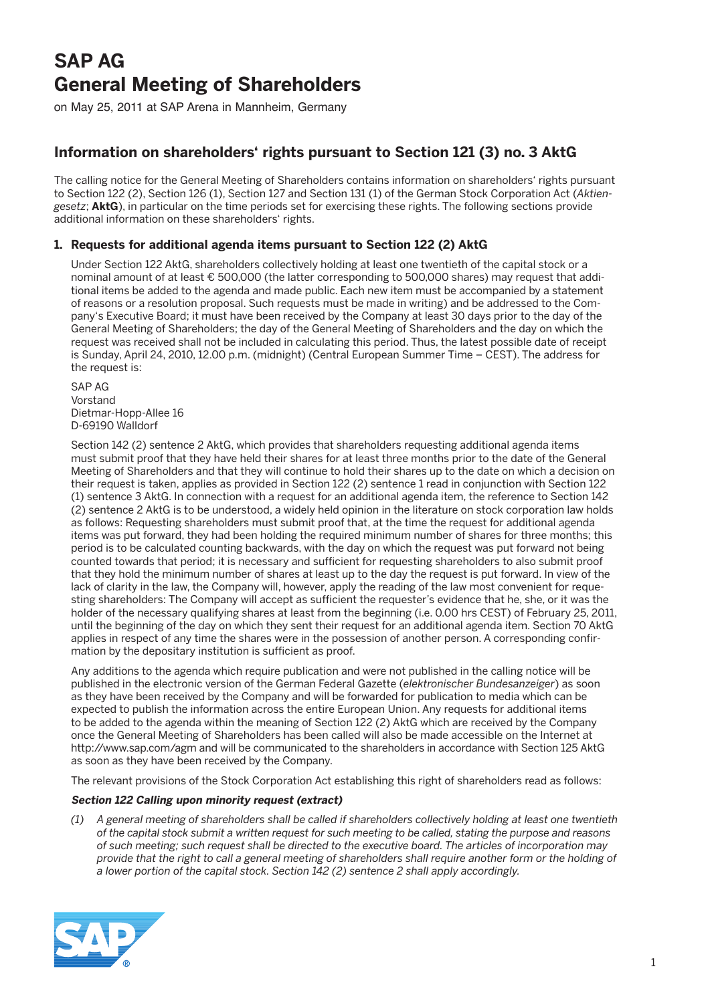# **SAP AG General Meeting of Shareholders**

on May 25, 2011 at SAP Arena in Mannheim, Germany

# **Information on shareholders' rights pursuant to Section 121 (3) no. 3 AktG**

The calling notice for the General Meeting of Shareholders contains information on shareholders' rights pursuant to Section 122 (2), Section 126 (1), Section 127 and Section 131 (1) of the German Stock Corporation Act (*Aktiengesetz*; **AktG**), in particular on the time periods set for exercising these rights. The following sections provide additional information on these shareholders' rights.

# **1. Requests for additional agenda items pursuant to Section 122 (2) AktG**

 Under Section 122 AktG, shareholders collectively holding at least one twentieth of the capital stock or a nominal amount of at least € 500,000 (the latter corresponding to 500,000 shares) may request that additional items be added to the agenda and made public. Each new item must be accompanied by a statement of reasons or a resolution proposal. Such requests must be made in writing) and be addressed to the Company's Executive Board; it must have been received by the Company at least 30 days prior to the day of the General Meeting of Shareholders; the day of the General Meeting of Shareholders and the day on which the request was received shall not be included in calculating this period. Thus, the latest possible date of receipt is Sunday, April 24, 2010, 12.00 p.m. (midnight) (Central European Summer Time – CEST). The address for the request is:

 SAP AG Vorstand Dietmar-Hopp-Allee 16 D-69190 Walldorf

 Section 142 (2) sentence 2 AktG, which provides that shareholders requesting additional agenda items must submit proof that they have held their shares for at least three months prior to the date of the General Meeting of Shareholders and that they will continue to hold their shares up to the date on which a decision on their request is taken, applies as provided in Section 122 (2) sentence 1 read in conjunction with Section 122 (1) sentence 3 AktG. In connection with a request for an additional agenda item, the reference to Section 142 (2) sentence 2 AktG is to be understood, a widely held opinion in the literature on stock corporation law holds as follows: Requesting shareholders must submit proof that, at the time the request for additional agenda items was put forward, they had been holding the required minimum number of shares for three months; this period is to be calculated counting backwards, with the day on which the request was put forward not being counted towards that period; it is necessary and sufficient for requesting shareholders to also submit proof that they hold the minimum number of shares at least up to the day the request is put forward. In view of the lack of clarity in the law, the Company will, however, apply the reading of the law most convenient for requesting shareholders: The Company will accept as sufficient the requester's evidence that he, she, or it was the holder of the necessary qualifying shares at least from the beginning (i.e. 0.00 hrs CEST) of February 25, 2011, until the beginning of the day on which they sent their request for an additional agenda item. Section 70 AktG applies in respect of any time the shares were in the possession of another person. A corresponding confirmation by the depositary institution is sufficient as proof.

 Any additions to the agenda which require publication and were not published in the calling notice will be published in the electronic version of the German Federal Gazette (*elektronischer Bundesanzeiger*) as soon as they have been received by the Company and will be forwarded for publication to media which can be expected to publish the information across the entire European Union. Any requests for additional items to be added to the agenda within the meaning of Section 122 (2) AktG which are received by the Company once the General Meeting of Shareholders has been called will also be made accessible on the Internet at http://www.sap.com/agm and will be communicated to the shareholders in accordance with Section 125 AktG as soon as they have been received by the Company.

The relevant provisions of the Stock Corporation Act establishing this right of shareholders read as follows:

# **Section 122 Calling upon minority request (extract)**

 *(1) A general meeting of shareholders shall be called if shareholders collectively holding at least one twentieth of the capital stock submit a written request for such meeting to be called, stating the purpose and reasons of such meeting; such request shall be directed to the executive board. The articles of incorporation may provide that the right to call a general meeting of shareholders shall require another form or the holding of a lower portion of the capital stock. Section 142 (2) sentence 2 shall apply accordingly.* 

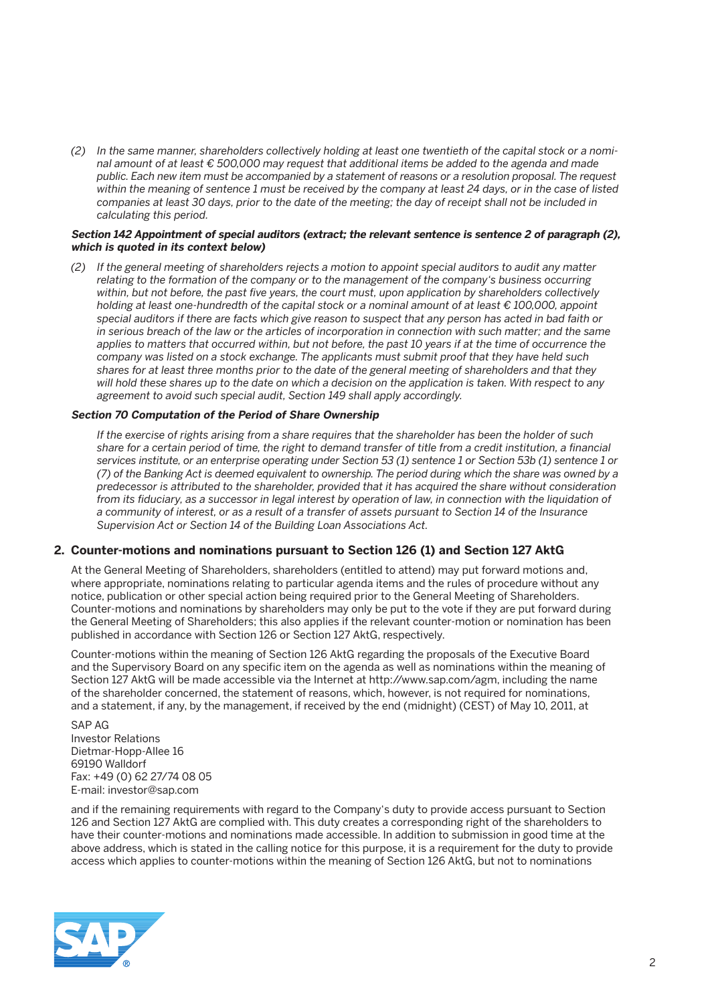*(2) In the same manner, shareholders collectively holding at least one twentieth of the capital stock or a nominal amount of at least € 500,000 may request that additional items be added to the agenda and made public. Each new item must be accompanied by a statement of reasons or a resolution proposal. The request within the meaning of sentence 1 must be received by the company at least 24 days, or in the case of listed companies at least 30 days, prior to the date of the meeting; the day of receipt shall not be included in calculating this period.*

#### **Section 142 Appointment of special auditors (extract; the relevant sentence is sentence 2 of paragraph (2), which is quoted in its context below)**

 *(2) If the general meeting of shareholders rejects a motion to appoint special auditors to audit any matter relating to the formation of the company or to the management of the company's business occurring within, but not before, the past five years, the court must, upon application by shareholders collectively holding at least one-hundredth of the capital stock or a nominal amount of at least € 100,000, appoint special auditors if there are facts which give reason to suspect that any person has acted in bad faith or in serious breach of the law or the articles of incorporation in connection with such matter; and the same applies to matters that occurred within, but not before, the past 10 years if at the time of occurrence the company was listed on a stock exchange. The applicants must submit proof that they have held such shares for at least three months prior to the date of the general meeting of shareholders and that they will hold these shares up to the date on which a decision on the application is taken. With respect to any agreement to avoid such special audit, Section 149 shall apply accordingly.*

#### **Section 70 Computation of the Period of Share Ownership**

 *If the exercise of rights arising from a share requires that the shareholder has been the holder of such share for a certain period of time, the right to demand transfer of title from a credit institution, a financial services institute, or an enterprise operating under Section 53 (1) sentence 1 or Section 53b (1) sentence 1 or (7) of the Banking Act is deemed equivalent to ownership. The period during which the share was owned by a predecessor is attributed to the shareholder, provided that it has acquired the share without consideration from its fiduciary, as a successor in legal interest by operation of law, in connection with the liquidation of a community of interest, or as a result of a transfer of assets pursuant to Section 14 of the Insurance Supervision Act or Section 14 of the Building Loan Associations Act.*

# **2. Counter-motions and nominations pursuant to Section 126 (1) and Section 127 AktG**

 At the General Meeting of Shareholders, shareholders (entitled to attend) may put forward motions and, where appropriate, nominations relating to particular agenda items and the rules of procedure without any notice, publication or other special action being required prior to the General Meeting of Shareholders. Counter-motions and nominations by shareholders may only be put to the vote if they are put forward during the General Meeting of Shareholders; this also applies if the relevant counter-motion or nomination has been published in accordance with Section 126 or Section 127 AktG, respectively.

 Counter-motions within the meaning of Section 126 AktG regarding the proposals of the Executive Board and the Supervisory Board on any specific item on the agenda as well as nominations within the meaning of Section 127 AktG will be made accessible via the Internet at http://www.sap.com/agm, including the name of the shareholder concerned, the statement of reasons, which, however, is not required for nominations, and a statement, if any, by the management, if received by the end (midnight) (CEST) of May 10, 2011, at

 SAP AG Investor Relations Dietmar-Hopp-Allee 16 69190 Walldorf Fax: +49 (0) 62 27/74 08 05 E-mail: investor@sap.com

 and if the remaining requirements with regard to the Company's duty to provide access pursuant to Section 126 and Section 127 AktG are complied with. This duty creates a corresponding right of the shareholders to have their counter-motions and nominations made accessible. In addition to submission in good time at the above address, which is stated in the calling notice for this purpose, it is a requirement for the duty to provide access which applies to counter-motions within the meaning of Section 126 AktG, but not to nominations

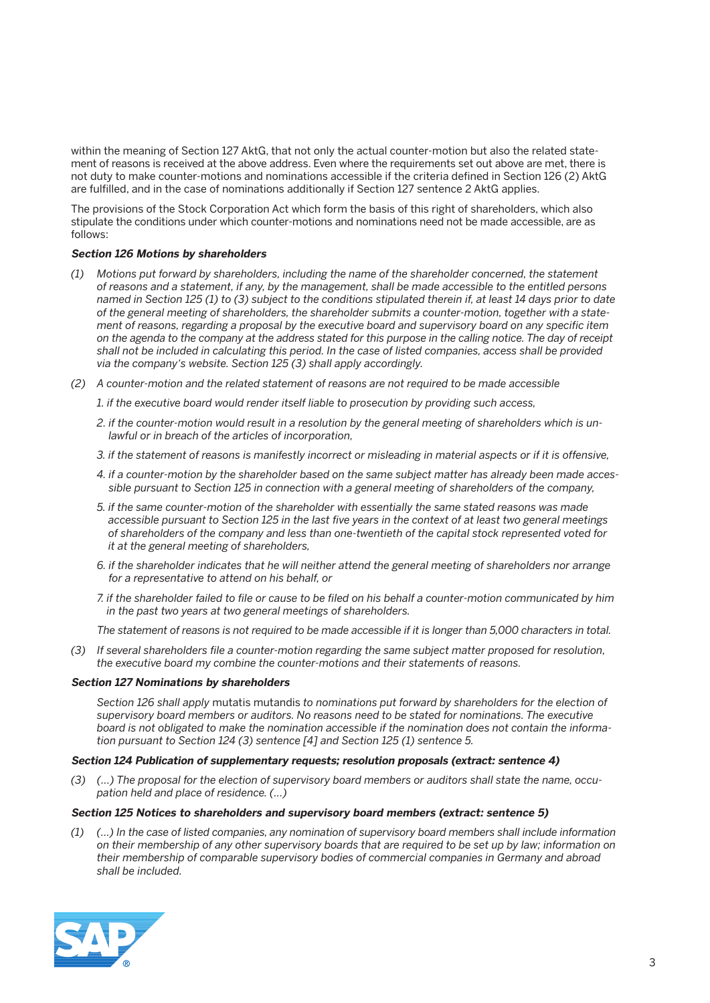within the meaning of Section 127 AktG, that not only the actual counter-motion but also the related statement of reasons is received at the above address. Even where the requirements set out above are met, there is not duty to make counter-motions and nominations accessible if the criteria defined in Section 126 (2) AktG are fulfilled, and in the case of nominations additionally if Section 127 sentence 2 AktG applies.

 The provisions of the Stock Corporation Act which form the basis of this right of shareholders, which also stipulate the conditions under which counter-motions and nominations need not be made accessible, are as follows:

#### **Section 126 Motions by shareholders**

- *(1) Motions put forward by shareholders, including the name of the shareholder concerned, the statement of reasons and a statement, if any, by the management, shall be made accessible to the entitled persons named in Section 125 (1) to (3) subject to the conditions stipulated therein if, at least 14 days prior to date of the general meeting of shareholders, the shareholder submits a counter-motion, together with a statement of reasons, regarding a proposal by the executive board and supervisory board on any specific item on the agenda to the company at the address stated for this purpose in the calling notice. The day of receipt shall not be included in calculating this period. In the case of listed companies, access shall be provided via the company's website. Section 125 (3) shall apply accordingly.*
- *(2) A counter-motion and the related statement of reasons are not required to be made accessible*
	- *1. if the executive board would render itself liable to prosecution by providing such access,*
	- *2. if the counter-motion would result in a resolution by the general meeting of shareholders which is unlawful or in breach of the articles of incorporation,*
	- *3. if the statement of reasons is manifestly incorrect or misleading in material aspects or if it is offensive,*
	- *4. if a counter-motion by the shareholder based on the same subject matter has already been made accessible pursuant to Section 125 in connection with a general meeting of shareholders of the company,*
	- *5. if the same counter-motion of the shareholder with essentially the same stated reasons was made accessible pursuant to Section 125 in the last five years in the context of at least two general meetings of shareholders of the company and less than one-twentieth of the capital stock represented voted for it at the general meeting of shareholders,*
	- *6. if the shareholder indicates that he will neither attend the general meeting of shareholders nor arrange for a representative to attend on his behalf, or*
	- *7. if the shareholder failed to file or cause to be filed on his behalf a counter-motion communicated by him in the past two years at two general meetings of shareholders.*

 *The statement of reasons is not required to be made accessible if it is longer than 5,000 characters in total.* 

 *(3) If several shareholders file a counter-motion regarding the same subject matter proposed for resolution, the executive board my combine the counter-motions and their statements of reasons.*

#### **Section 127 Nominations by shareholders**

 *Section 126 shall apply* mutatis mutandis *to nominations put forward by shareholders for the election of supervisory board members or auditors. No reasons need to be stated for nominations. The executive board is not obligated to make the nomination accessible if the nomination does not contain the information pursuant to Section 124 (3) sentence [4] and Section 125 (1) sentence 5.*

#### **Section 124 Publication of supplementary requests; resolution proposals (extract: sentence 4)**

 *(3) (...) The proposal for the election of supervisory board members or auditors shall state the name, occupation held and place of residence. (...)*

#### **Section 125 Notices to shareholders and supervisory board members (extract: sentence 5)**

 *(1) (…) In the case of listed companies, any nomination of supervisory board members shall include information on their membership of any other supervisory boards that are required to be set up by law; information on their membership of comparable supervisory bodies of commercial companies in Germany and abroad shall be included.*

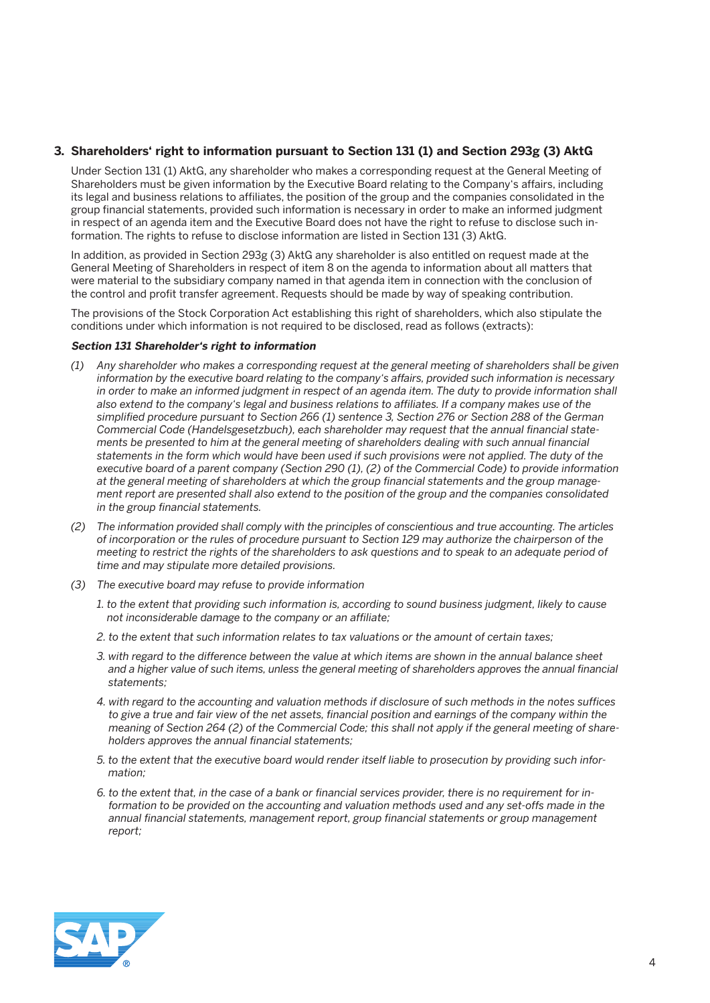# **3. Shareholders' right to information pursuant to Section 131 (1) and Section 293g (3) AktG**

 Under Section 131 (1) AktG, any shareholder who makes a corresponding request at the General Meeting of Shareholders must be given information by the Executive Board relating to the Company's affairs, including its legal and business relations to affiliates, the position of the group and the companies consolidated in the group financial statements, provided such information is necessary in order to make an informed judgment in respect of an agenda item and the Executive Board does not have the right to refuse to disclose such information. The rights to refuse to disclose information are listed in Section 131 (3) AktG.

 In addition, as provided in Section 293g (3) AktG any shareholder is also entitled on request made at the General Meeting of Shareholders in respect of item 8 on the agenda to information about all matters that were material to the subsidiary company named in that agenda item in connection with the conclusion of the control and profit transfer agreement. Requests should be made by way of speaking contribution.

 The provisions of the Stock Corporation Act establishing this right of shareholders, which also stipulate the conditions under which information is not required to be disclosed, read as follows (extracts):

#### **Section 131 Shareholder's right to information**

- *(1) Any shareholder who makes a corresponding request at the general meeting of shareholders shall be given information by the executive board relating to the company's affairs, provided such information is necessary in order to make an informed judgment in respect of an agenda item. The duty to provide information shall also extend to the company's legal and business relations to affiliates. If a company makes use of the simplified procedure pursuant to Section 266 (1) sentence 3, Section 276 or Section 288 of the German Commercial Code (Handelsgesetzbuch), each shareholder may request that the annual financial statements be presented to him at the general meeting of shareholders dealing with such annual financial statements in the form which would have been used if such provisions were not applied. The duty of the executive board of a parent company (Section 290 (1), (2) of the Commercial Code) to provide information at the general meeting of shareholders at which the group financial statements and the group management report are presented shall also extend to the position of the group and the companies consolidated in the group financial statements.*
- *(2) The information provided shall comply with the principles of conscientious and true accounting. The articles of incorporation or the rules of procedure pursuant to Section 129 may authorize the chairperson of the meeting to restrict the rights of the shareholders to ask questions and to speak to an adequate period of time and may stipulate more detailed provisions.*
- *(3) The executive board may refuse to provide information* 
	- *1. to the extent that providing such information is, according to sound business judgment, likely to cause not inconsiderable damage to the company or an affiliate;*
	- *2. to the extent that such information relates to tax valuations or the amount of certain taxes;*
	- *3. with regard to the difference between the value at which items are shown in the annual balance sheet and a higher value of such items, unless the general meeting of shareholders approves the annual financial statements;*
	- *4. with regard to the accounting and valuation methods if disclosure of such methods in the notes suffices to give a true and fair view of the net assets, financial position and earnings of the company within the meaning of Section 264 (2) of the Commercial Code; this shall not apply if the general meeting of shareholders approves the annual financial statements;*
	- *5. to the extent that the executive board would render itself liable to prosecution by providing such information;*
	- *6. to the extent that, in the case of a bank or financial services provider, there is no requirement for information to be provided on the accounting and valuation methods used and any set-offs made in the annual financial statements, management report, group financial statements or group management report;*